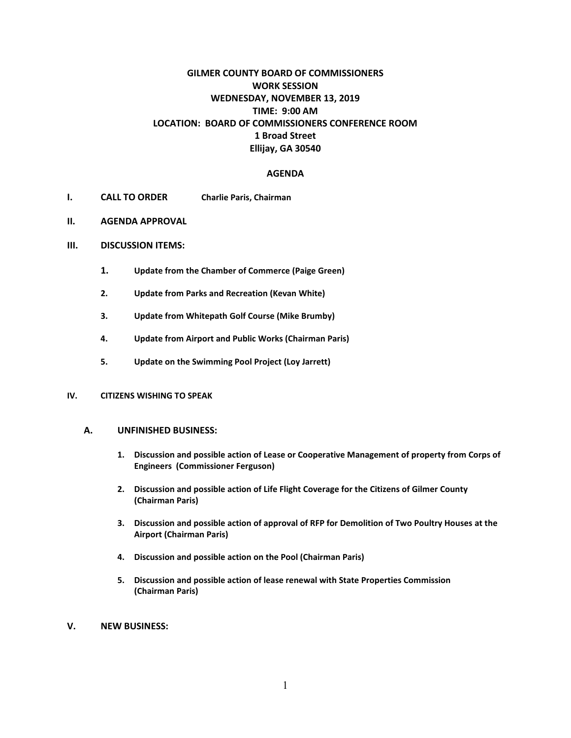# **GILMER COUNTY BOARD OF COMMISSIONERS WORK SESSION WEDNESDAY, NOVEMBER 13, 2019 TIME: 9:00 AM LOCATION: BOARD OF COMMISSIONERS CONFERENCE ROOM 1 Broad Street Ellijay, GA 30540**

#### **AGENDA**

- **I. CALL TO ORDER Charlie Paris, Chairman**
- **II. AGENDA APPROVAL**
- **III. DISCUSSION ITEMS:**
	- **1. Update from the Chamber of Commerce (Paige Green)**
	- **2. Update from Parks and Recreation (Kevan White)**
	- **3. Update from Whitepath Golf Course (Mike Brumby)**
	- **4. Update from Airport and Public Works (Chairman Paris)**
	- **5. Update on the Swimming Pool Project (Loy Jarrett)**

#### **IV. CITIZENS WISHING TO SPEAK**

#### **A. UNFINISHED BUSINESS:**

- **1. Discussion and possible action of Lease or Cooperative Management of property from Corps of Engineers (Commissioner Ferguson)**
- **2. Discussion and possible action of Life Flight Coverage for the Citizens of Gilmer County (Chairman Paris)**
- **3. Discussion and possible action of approval of RFP for Demolition of Two Poultry Houses at the Airport (Chairman Paris)**
- **4. Discussion and possible action on the Pool (Chairman Paris)**
- **5. Discussion and possible action of lease renewal with State Properties Commission (Chairman Paris)**
- **V. NEW BUSINESS:**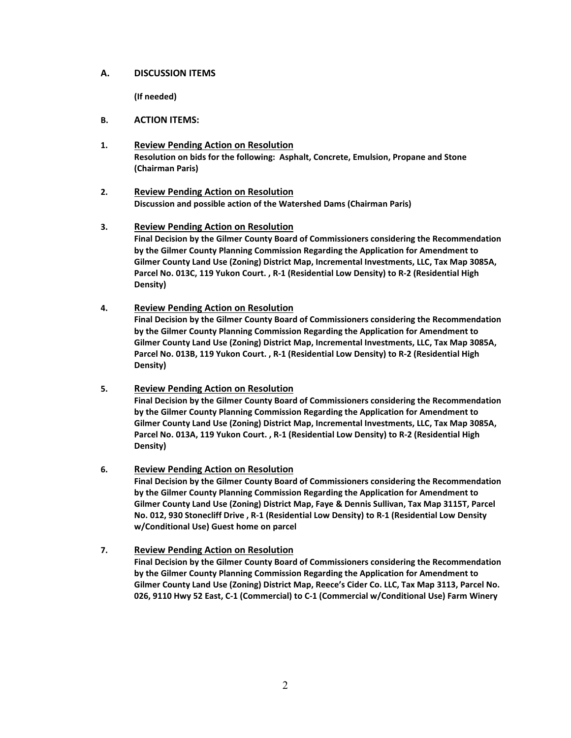### **A. DISCUSSION ITEMS**

**(If needed)**

### **B. ACTION ITEMS:**

**1. Review Pending Action on Resolution Resolution on bids for the following: Asphalt, Concrete, Emulsion, Propane and Stone (Chairman Paris)**

### **2. Review Pending Action on Resolution Discussion and possible action of the Watershed Dams (Chairman Paris)**

## **3. Review Pending Action on Resolution**

**Final Decision by the Gilmer County Board of Commissioners considering the Recommendation by the Gilmer County Planning Commission Regarding the Application for Amendment to Gilmer County Land Use (Zoning) District Map, Incremental Investments, LLC, Tax Map 3085A, Parcel No. 013C, 119 Yukon Court. , R-1 (Residential Low Density) to R-2 (Residential High Density)**

### **4. Review Pending Action on Resolution**

**Final Decision by the Gilmer County Board of Commissioners considering the Recommendation by the Gilmer County Planning Commission Regarding the Application for Amendment to Gilmer County Land Use (Zoning) District Map, Incremental Investments, LLC, Tax Map 3085A, Parcel No. 013B, 119 Yukon Court. , R-1 (Residential Low Density) to R-2 (Residential High Density)**

## **5. Review Pending Action on Resolution**

**Final Decision by the Gilmer County Board of Commissioners considering the Recommendation by the Gilmer County Planning Commission Regarding the Application for Amendment to Gilmer County Land Use (Zoning) District Map, Incremental Investments, LLC, Tax Map 3085A, Parcel No. 013A, 119 Yukon Court. , R-1 (Residential Low Density) to R-2 (Residential High Density)**

## **6. Review Pending Action on Resolution**

**Final Decision by the Gilmer County Board of Commissioners considering the Recommendation by the Gilmer County Planning Commission Regarding the Application for Amendment to Gilmer County Land Use (Zoning) District Map, Faye & Dennis Sullivan, Tax Map 3115T, Parcel No. 012, 930 Stonecliff Drive , R-1 (Residential Low Density) to R-1 (Residential Low Density w/Conditional Use) Guest home on parcel**

## **7. Review Pending Action on Resolution**

**Final Decision by the Gilmer County Board of Commissioners considering the Recommendation by the Gilmer County Planning Commission Regarding the Application for Amendment to Gilmer County Land Use (Zoning) District Map, Reece's Cider Co. LLC, Tax Map 3113, Parcel No. 026, 9110 Hwy 52 East, C-1 (Commercial) to C-1 (Commercial w/Conditional Use) Farm Winery**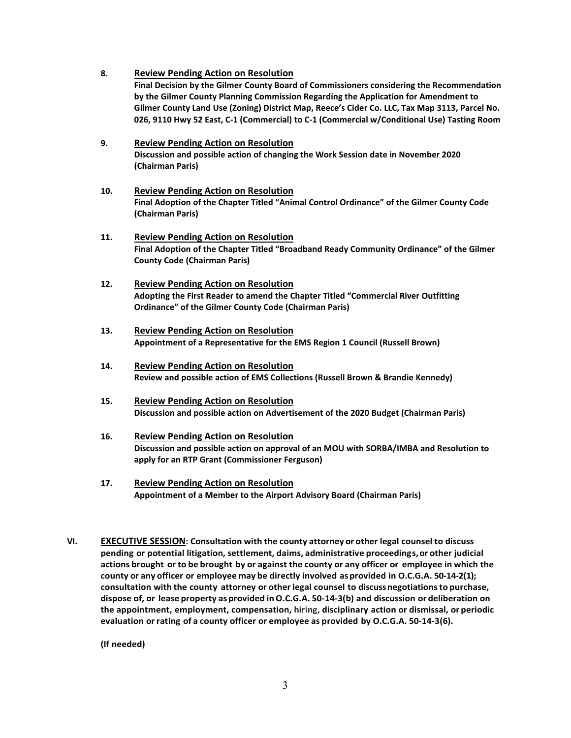- **8. Review Pending Action on Resolution Final Decision by the Gilmer County Board of Commissioners considering the Recommendation by the Gilmer County Planning Commission Regarding the Application for Amendment to Gilmer County Land Use (Zoning) District Map, Reece's Cider Co. LLC, Tax Map 3113, Parcel No. 026, 9110 Hwy 52 East, C-1 (Commercial) to C-1 (Commercial w/Conditional Use) Tasting Room**
- **9. Review Pending Action on Resolution Discussion and possible action of changing the Work Session date in November 2020 (Chairman Paris)**
- **10. Review Pending Action on Resolution Final Adoption of the Chapter Titled "Animal Control Ordinance" of the Gilmer County Code (Chairman Paris)**
- **11. Review Pending Action on Resolution Final Adoption of the Chapter Titled "Broadband Ready Community Ordinance" of the Gilmer County Code (Chairman Paris)**
- **12. Review Pending Action on Resolution Adopting the First Reader to amend the Chapter Titled "Commercial River Outfitting Ordinance" of the Gilmer County Code (Chairman Paris)**
- **13. Review Pending Action on Resolution Appointment of a Representative for the EMS Region 1 Council (Russell Brown)**
- **14. Review Pending Action on Resolution Review and possible action of EMS Collections (Russell Brown & Brandie Kennedy)**
- **15. Review Pending Action on Resolution Discussion and possible action on Advertisement of the 2020 Budget (Chairman Paris)**
- **16. Review Pending Action on Resolution Discussion and possible action on approval of an MOU with SORBA/IMBA and Resolution to apply for an RTP Grant (Commissioner Ferguson)**
- **17. Review Pending Action on Resolution Appointment of a Member to the Airport Advisory Board (Chairman Paris)**
- **VI. EXECUTIVE SESSION: Consultation with the county attorney or other legal counsel to discuss pending or potential litigation, settlement, claims, administrative proceedings,or other judicial actions brought or to be brought by or against the county or any officer or employee in which the county or any officer or employee may be directly involved asprovided in O.C.G.A. 50-14-2(1); consultation with the county attorney or otherlegal counsel to discussnegotiationsto purchase, dispose of, or lease property asprovided inO.C.G.A. 50-14-3(b) and discussion or deliberation on the appointment, employment, compensation, hiring, disciplinary action or dismissal, or periodic evaluation orrating of a county officer or employee as provided by O.C.G.A. 50-14-3(6).**

**(If needed)**